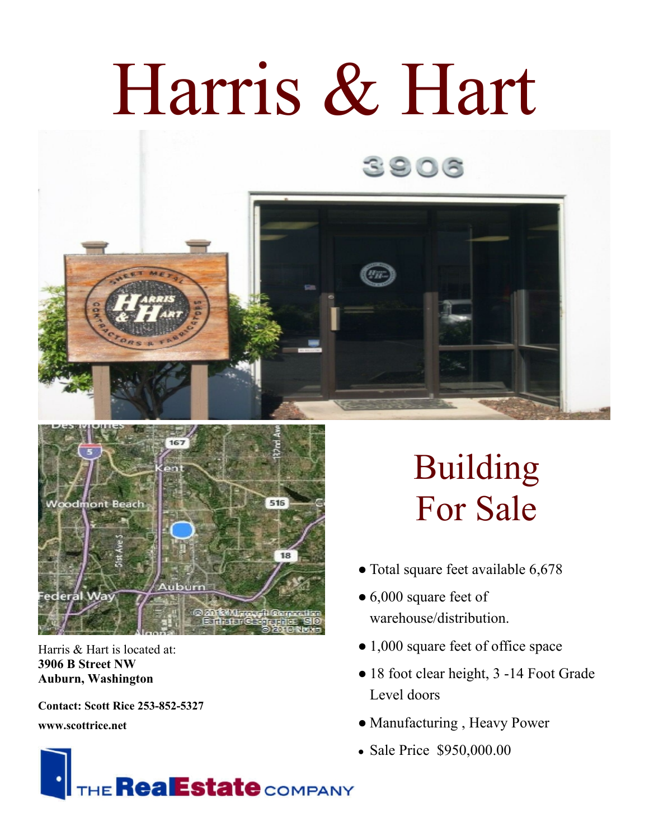## Harris & Hart





Harris & Hart is located at: **3906 B Street NW Auburn, Washington**

**Contact: Scott Rice 253-852-5327 www.scottrice.net**

## THE **RealEstate** COMPANY

## Building For Sale

- Total square feet available 6,678
- 6,000 square feet of warehouse/distribution.
- 1,000 square feet of office space
- 18 foot clear height, 3 -14 Foot Grade Level doors
- Manufacturing, Heavy Power
- Sale Price \$950,000.00